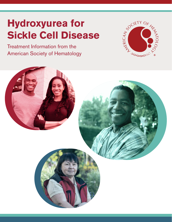# **Hydroxyurea for Sickle Cell Disease**

Treatment Information from the American Society of Hematology



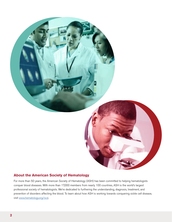

#### **About the American Society of Hematology**

For more than 50 years, the American Society of Hematology (ASH) has been committed to helping hematologists conquer blood diseases. With more than 17,000 members from nearly 100 countries, ASH is the world's largest professional society of hematologists. We're dedicated to furthering the understanding, diagnosis, treatment, and prevention of disorders affecting the blood. To learn about how ASH is working towards conquering sickle cell disease, visit www.hematology.org/scd.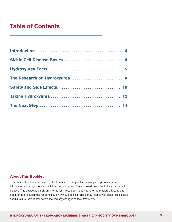# **Table of Contents**

| Sickle Cell Disease Basics 4 |  |
|------------------------------|--|
|                              |  |
|                              |  |
|                              |  |
|                              |  |
|                              |  |

#### **About This Booklet**

This booklet has been prepared by the American Society of Hematology and provides general information about hydroxyurea, which is one of the few FDA-approved therapies to treat sickle cell disease. This booklet is purely an informational resource. It does not provide medical advice and is not intended to substitute for consultation with a medical professional. People with sickle cell disease should talk to their doctor before making any changes to their treatment.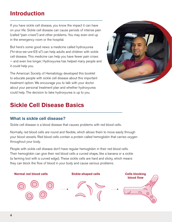# **Introduction**

If you have sickle cell disease, you know the impact it can have on your life. Sickle cell disease can cause periods of intense pain (called "pain crises") and other problems. You may even end up in the emergency room or the hospital.

But here's some good news: a medicine called hydroxyurea ("hi-drox-ee-ure-EE-a") can help adults and children with sickle cell disease. This medicine can help you have fewer pain crises — and even live longer. Hydroxyurea has helped many people and it could help you.

The American Society of Hematology developed this booklet to educate people with sickle cell disease about this important treatment option. We encourage you to talk with your doctor about your personal treatment plan and whether hydroxyurea could help. The decision to take hydroxyurea is up to you.



# **Sickle Cell Disease Basics**

## **What is sickle cell disease?**

Sickle cell disease is a blood disease that causes problems with red blood cells.

Normally, red blood cells are round and flexible, which allows them to move easily through your blood vessels. Red blood cells contain a protein called hemoglobin that carries oxygen throughout your body.

People with sickle cell disease don't have regular hemoglobin in their red blood cells. Their hemoglobin can give their red blood cells a curved shape, like a banana or a sickle (a farming tool with a curved edge). These sickle cells are hard and sticky, which means they can block the flow of blood in your body and cause serious problems.

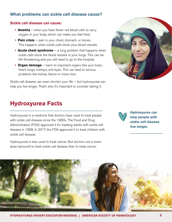# **What problems can sickle cell disease cause?**

#### **Sickle cell disease can cause:**

- **Anemia** when you have fewer red blood cells to carry oxygen in your body, which can make you feel tired.
- **Pain crisis** pain in your chest, stomach, or bones. This happens when sickle cells block your blood vessels.
- **Acute chest syndrome** a lung problem that happens when sickle cells block the blood vessels in your lungs. This can be life threatening and you will need to go to the hospital.
- **Organ damage**  harm to important organs like your brain, heart, lungs, kidneys, and eyes. This can lead to serious problems like kidney failure or vision loss.

Sickle cell disease can even shorten your life — but hydroxyurea can help you live longer. That's why it's important to consider taking it.



# **Hydroxyurea Facts**

Hydroxyurea is a medicine that doctors have used to treat people with sickle cell disease since the 1980s. The Food and Drug Administration (FDA) approved it for treating adults with sickle cell disease in 1998. In 2017, the FDA approved it to treat children with sickle cell disease.

Hydroxyurea is also used to treat cancer. But doctors use a lower dose (amount) to treat sickle cell disease than to treat cancer.

**Hydroxyurea can help people with sickle cell disease live longer.**

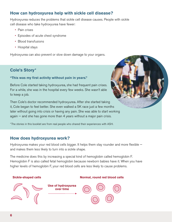# **How can hydroxyurea help with sickle cell disease?**

Hydroxyurea reduces the problems that sickle cell disease causes. People with sickle cell disease who take hydroxyurea have fewer:

- Pain crises
- Episodes of acute chest syndrome
- Blood transfusions
- Hospital stays

Hydroxyurea can also prevent or slow down damage to your organs.

# **Cole's Story\***

#### **"This was my first activity without pain in years."**

Before Cole started taking hydroxyurea, she had frequent pain crises. For a while, she was in the hospital every few weeks. She wasn't able to keep a job.

Then Cole's doctor recommended hydroxyurea. After she started taking it, Cole began to feel better. She even walked a 5K race just a few months later without going into crisis or having any pain. She was able to start working again  $-$  and she has gone more than 4 years without a major pain crisis.

\*The stories in this booklet are from real people who shared their experiences with ASH.

## **How does hydroxyurea work?**

Hydroxyurea makes your red blood cells bigger. It helps them stay rounder and more flexible and makes them less likely to turn into a sickle shape.

The medicine does this by increasing a special kind of hemoglobin called hemoglobin F. Hemoglobin F is also called fetal hemoglobin because newborn babies have it. When you have higher levels of hemoglobin F, your red blood cells are less likely to cause problems.

#### **Sickle-shaped cells**



#### **Normal, round red blood cells**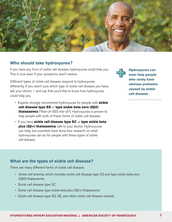

### **Who should take hydroxyurea?**

If you have any form of sickle cell disease, hydroxyurea could help you. This is true even if your symptoms aren't severe.

Different types of sickle cell disease respond to hydroxyurea differently. If you aren't sure which type of sickle cell disease you have, ask your doctor — and say that you'd like to know how hydroxyurea could help you.

- Experts strongly recommend hydroxyurea for people with **sickle cell disease type SS** or **type sickle beta zero (Sβ0) thalassemia** ("thal-uh-SEE-me-uh"). Hydroxyurea is proven to help people with both of these forms of sickle cell disease.
- If you have **sickle cell disease type SC** or **type sickle beta plus (Sβ+) thalassemia**, talk to your doctor. Hydroxyurea can help, but scientists have done less research on what hydroxyurea can do for people with these types of sickle cell disease.



**Hydroxyurea can even help people who rarely have obvious problems caused by sickle cell disease.**

### **What are the types of sickle cell disease?**

There are many different forms of sickle cell disease:

- Sickle cell anemia, which includes sickle cell disease type SS and type sickle beta zero (Sβ0) thalassemia
- Sickle cell disease type SC
- Sickle cell disease type sickle beta plus (Sβ+) thalassemia
- Sickle cell disease type SD, SE, and other sickle cell disease variants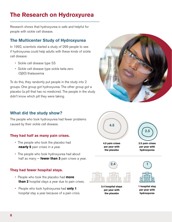# **The Research on Hydroxyurea**

Research shows that hydroxyurea is safe and helpful for people with sickle cell disease.

# **The Multicenter Study of Hydroxyurea**

In 1992, scientists started a study of 299 people to see if hydroxyurea could help adults with these kinds of sickle cell disease:

- Sickle cell disease type SS
- Sickle cell disease type sickle beta zero (Sβ0) thalassemia

To do this, they randomly put people in the study into 2 groups. One group got hydroxyurea. The other group got a placebo (a pill that has no medicine). The people in the study didn't know which pill they were taking.

# **What did the study show?**

The people who took hydroxyurea had fewer problems caused by their sickle cell disease.

### **They had half as many pain crises.**

- The people who took the placebo had **nearly 5** pain crises in a year.
- The people who took hydroxyurea had about half as many — **fewer than 3** pain crises a year.

### **They had fewer hospital stays.**

- People who took the placebo had **more than 2** hospital stays a year due to pain crises.
- People who took hydroxyurea had **only 1** hospital stay a year because of a pain crisis.





**2.4 hospital stays per year with the placebo**



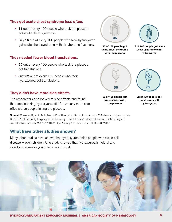### **They got acute chest syndrome less often.**

- **35** out of every 100 people who took the placebo got acute chest syndrome.
- Only **16** out of every 100 people who took hydroxyurea got acute chest syndrome — that's about half as many.

#### **They needed fewer blood transfusions.**

- **50** out of every 100 people who took the placebo got transfusions.
- Just **32** out of every 100 people who took hydroxyurea got transfusions.

#### **They didn't have more side effects.**

The researchers also looked at side effects and found that people taking hydroxyurea didn't have any more side effects than people taking the placebo.

**Source:** Charache, S., Terrin, M. L., Moore, R. D., Dover, G. J., Barton, F. B., Eckert, S. V., McMahon, R. P., and Bonds, D. R. (1995). Effect of hydroxyurea on the frequency of painful crises in sickle cell anemia, The New England Journal of Medicine, 332(20), 1317-1322. http://doi.org/10.1056/NEJM199505183322001

### **What have other studies shown?**

Many other studies have shown that hydroxyurea helps people with sickle cell disease — even children. One study showed that hydroxyurea is helpful and safe for children as young as 9 months old.





**50 of 100 people got transfusions with the placebo**



**35 of 100 people got acute chest syndrome with the placebo**

**16 of 100 people got acute chest syndrome with hydroxyurea**



**32 of 100 people got transfusions with hydroxyurea**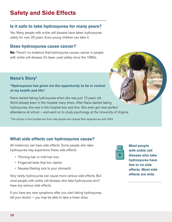# **Safety and Side Effects**

# **Is it safe to take hydroxyurea for many years?**

Yes. Many people with sickle cell disease have taken hydroxyurea safely for over 20 years. Even young children can take it.

## **Does hydroxyurea cause cancer?**

**No**. There's no evidence that hydroxyurea causes cancer in people with sickle cell disease. It's been used safely since the 1980s.

# **Nana's Story\***

#### **"Hydroxyurea has given me the opportunity to be in control of my health and life."**

Nana started taking hydroxyurea when she was just 12 years old. She'd already been in the hospital many times. After Nana started taking hydroxyurea, she was in the hospital less and less. She even got near perfect attendance at school — and went on to study psychology at the University of Virginia.

\*The stories in this booklet are from real people who shared their experiences with ASH.

# **What side effects can hydroxyurea cause?**

All medicines can have side effects. Some people who take hydroxyurea may experience these side effects:

- Thinning hair or mild hair loss
- Fingernail beds that turn darker
- Nausea (feeling sick to your stomach)

Very rarely, hydroxyurea can cause more serious side effects. But most people with sickle cell disease who take hydroxyurea don't have any serious side effects.

If you have any new symptoms after you start taking hydroxyurea, tell your doctor  $-$  you may be able to take a lower dose.



**Most people with sickle cell disease who take hydroxyurea have few or no side effects. Most side effects are mild.**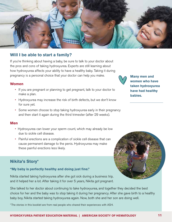

### **Will I be able to start a family?**

If you're thinking about having a baby, be sure to talk to your doctor about the pros and cons of taking hydroxyurea. Experts are still learning about how hydroxyurea affects your ability to have a healthy baby. Taking it during pregnancy is a personal choice that your doctor can help you make.

#### **Women**

- If you are pregnant or planning to get pregnant, talk to your doctor to make a plan.
- Hydroxyurea may increase the risk of birth defects, but we don't know for sure yet.
- Some women choose to stop taking hydroxyurea early in their pregnancy and then start it again during the third trimester (after 29 weeks).

#### **Men**

- Hydroxyurea can lower your sperm count, which may already be low due to sickle cell disease.
- Painful erections are a complication of sickle cell disease that can cause permanent damage to the penis. Hydroxyurea may make these painful erections less likely.

### **Nikita's Story\***

#### **"My baby is perfectly healthy and doing just fine."**

Nikita started taking hydroxyurea after she got sick during a business trip, and it helped her a lot. After taking it for over 5 years, Nikita got pregnant.



She talked to her doctor about continuing to take hydroxyurea, and together they decided the best choice for her and the baby was to stop taking it during her pregnancy. After she gave birth to a healthy baby boy, Nikita started taking hydroxyurea again. Now, both she and her son are doing well.

\*The stories in this booklet are from real people who shared their experiences with ASH.

**Many men and women who have taken hydroxyurea have had healthy babies.**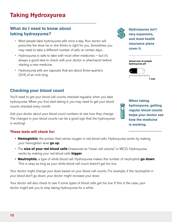# **Taking Hydroxyurea**

# **What do I need to know about taking hydroxyurea?**

- Most people take hydroxyurea pills once a day. Your doctor will prescribe the dose he or she thinks is right for you. Sometimes you may need to take a different number of pills on certain days.
- Hydroxyurea is safe to take with most other medicines but it's always a good idea to check with your doctor or pharmacist before starting a new medicine.
- Hydroxyurea pills are capsules that are about three-quarters (3/4) of an inch long.

# **Checking your blood count**

You'll need to get your blood cell counts checked regularly when you take hydroxyurea. When you first start taking it, you may need to get your blood counts checked every month.

Ask your doctor about your blood count numbers to see how they change. The changes in your blood counts can be a good sign that the hydroxyurea is working!

### **These tests will check for:**

- **Hemoglobin**, the protein that carries oxygen in red blood cells. Hydroxyurea works by making your hemoglobin level **go up**.
- The **size of your red blood cells** (measured as "mean cell volume," or MCV). Hydroxyurea works by making your red blood cells **bigger**.
- **Neutrophils**, a type of white blood cell. Hydroxyurea makes the number of neutrophils **go down**. This is okay as long as your white blood cell count doesn't get too low.

Your doctor might change your dose based on your blood cell counts. For example, if the neutrophils in your blood don't go down, your doctor might increase your dose.

Your doctor will also check to see if some types of blood cells get too low. If this is the case, your doctor might ask you to stop taking hydroxyurea for a while.



**Hydroxyurea isn't very expensive, and most health insurance plans cover it.**

| <b>Actual size of sample</b><br>hydroxyurea pill |  |
|--------------------------------------------------|--|
|                                                  |  |
| المعتقبات                                        |  |



**When taking hydroxyurea, getting regular blood counts helps your doctor see how the medicine is working.**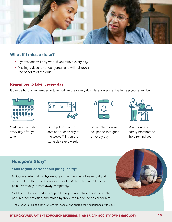

## **What if I miss a dose?**

- Hydroxyurea will only work if you take it every day.
- Missing a dose is not dangerous and will not reverse the benefits of the drug.

#### **Remember to take it every day**

It can be hard to remember to take hydroxyurea every day. Here are some tips to help you remember:



Mark your calendar every day after you take it.



Get a pill box with a section for each day of the week. Fill it on the same day every week.



Set an alarm on your cell phone that goes off every day.



Ask friends or family members to help remind you.

# **Ndiogou's Story\***

#### **"Talk to your doctor about giving it a try."**

Ndiogou started taking hydroxyurea when he was 21 years old and noticed the difference a few months later. At first, he had a lot less pain. Eventually, it went away completely.

Sickle cell disease hadn't stopped Ndiogou from playing sports or taking part in other activities, and taking hydroxyurea made life easier for him.

\*The stories in this booklet are from real people who shared their experiences with ASH.

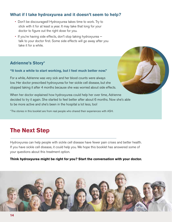# **What if I take hydroxyurea and it doesn't seem to help?**

- Don't be discouraged! Hydroxyurea takes time to work. Try to stick with it for at least a year. It may take that long for your doctor to figure out the right dose for you.
- If you're having side effects, don't stop taking hydroxyurea talk to your doctor first. Some side effects will go away after you take it for a while.

# **Adrienne's Story\***

#### **"It took a while to start working, but I feel much better now."**

For a while, Adrienne was very sick and her blood counts were always low. Her doctor prescribed hydroxyurea for her sickle cell disease, but she stopped taking it after 4 months because she was worried about side effects.

When her doctor explained how hydroxyurea could help her over time, Adrienne decided to try it again. She started to feel better after about 6 months. Now she's able to be more active and she's been in the hospital a lot less, too!

\*The stories in this booklet are from real people who shared their experiences with ASH.

# **The Next Step**

Hydroxyurea can help people with sickle cell disease have fewer pain crises and better health. If you have sickle cell disease, it could help you. We hope this booklet has answered some of your questions about this treatment option.

#### **Think hydroxyurea might be right for you? Start the conversation with your doctor.**



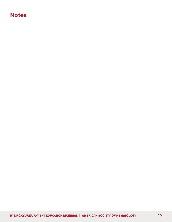# **Notes**